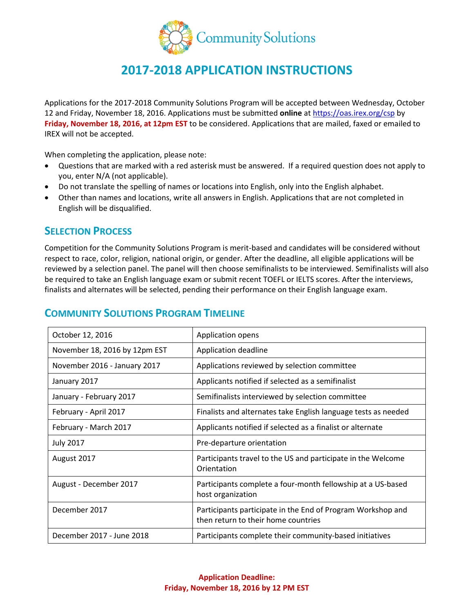

# **2017-2018 APPLICATION INSTRUCTIONS**

Applications for the 2017-2018 Community Solutions Program will be accepted between Wednesday, October 12 and Friday, November 18, 2016. Applications must be submitted **online** at<https://oas.irex.org/csp> by **Friday, November 18, 2016, at 12pm EST** to be considered. Applications that are mailed, faxed or emailed to IREX will not be accepted.

When completing the application, please note:

- Questions that are marked with a red asterisk must be answered. If a required question does not apply to you, enter N/A (not applicable).
- Do not translate the spelling of names or locations into English, only into the English alphabet.
- Other than names and locations, write all answers in English. Applications that are not completed in English will be disqualified.

### **SELECTION PROCESS**

Competition for the Community Solutions Program is merit-based and candidates will be considered without respect to race, color, religion, national origin, or gender. After the deadline, all eligible applications will be reviewed by a selection panel. The panel will then choose semifinalists to be interviewed. Semifinalists will also be required to take an English language exam or submit recent TOEFL or IELTS scores. After the interviews, finalists and alternates will be selected, pending their performance on their English language exam.

| October 12, 2016              | Application opens                                                                                  |
|-------------------------------|----------------------------------------------------------------------------------------------------|
| November 18, 2016 by 12pm EST | Application deadline                                                                               |
| November 2016 - January 2017  | Applications reviewed by selection committee                                                       |
| January 2017                  | Applicants notified if selected as a semifinalist                                                  |
| January - February 2017       | Semifinalists interviewed by selection committee                                                   |
| February - April 2017         | Finalists and alternates take English language tests as needed                                     |
| February - March 2017         | Applicants notified if selected as a finalist or alternate                                         |
| <b>July 2017</b>              | Pre-departure orientation                                                                          |
| August 2017                   | Participants travel to the US and participate in the Welcome<br>Orientation                        |
| August - December 2017        | Participants complete a four-month fellowship at a US-based<br>host organization                   |
| December 2017                 | Participants participate in the End of Program Workshop and<br>then return to their home countries |
| December 2017 - June 2018     | Participants complete their community-based initiatives                                            |

### **COMMUNITY SOLUTIONS PROGRAM TIMELINE**